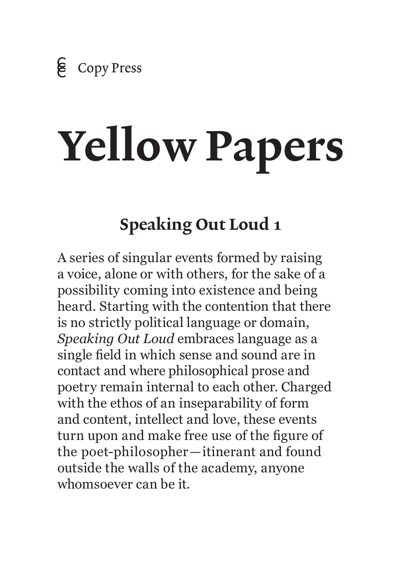# Yellow Papers

## Speaking Out Loud 1

A series of singular events formed by raising a voice, alone or with others, for the sake of a possibility coming into existence and being heard. Starting with the contention that there is no strictly political language or domain, *Speaking Out Loud* embraces language as a single field in which sense and sound are in contact and where philosophical prose and poetry remain internal to each other. Charged with the ethos of an inseparability of form and content, intellect and love, these events turn upon and make free use of the figure of the poet-philosopher—itinerant and found outside the walls of the academy, anyone whomsoever can be it.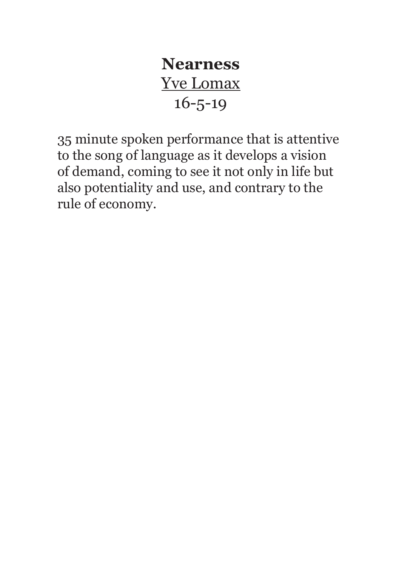### **Nearness**  Yve Lomax 16-5-19

35 minute spoken performance that is attentive to the song of language as it develops a vision of demand, coming to see it not only in life but also potentiality and use, and contrary to the rule of economy.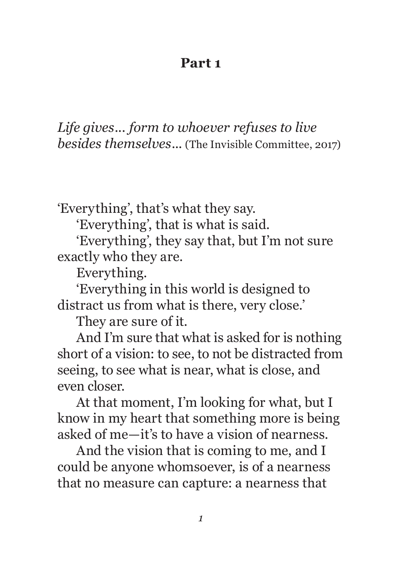#### **Part 1**

*Life gives... form to whoever refuses to live besides themselves...* (The Invisible Committee, 2017)

'Everything', that's what they say.

'Everything', that is what is said.

'Everything', they say that, but I'm not sure exactly who they are.

Everything.

'Everything in this world is designed to distract us from what is there, very close.'

They are sure of it.

And I'm sure that what is asked for is nothing short of a vision: to see, to not be distracted from seeing, to see what is near, what is close, and even closer.

At that moment, I'm looking for what, but I know in my heart that something more is being asked of me—it's to have a vision of nearness.

And the vision that is coming to me, and I could be anyone whomsoever, is of a nearness that no measure can capture: a nearness that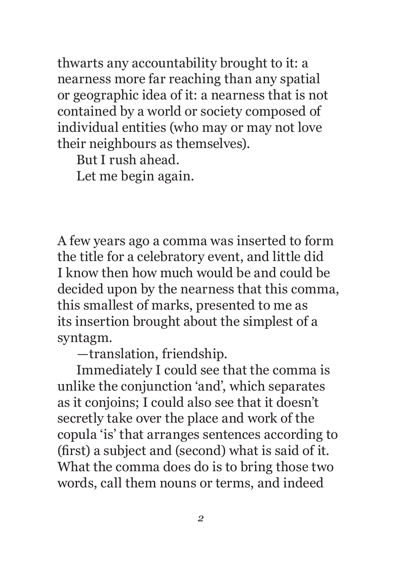thwarts any accountability brought to it: a nearness more far reaching than any spatial or geographic idea of it: a nearness that is not contained by a world or society composed of individual entities (who may or may not love their neighbours as themselves).

But I rush ahead.

Let me begin again.

A few years ago a comma was inserted to form the title for a celebratory event, and little did I know then how much would be and could be decided upon by the nearness that this comma, this smallest of marks, presented to me as its insertion brought about the simplest of a syntagm.

—translation, friendship.

Immediately I could see that the comma is unlike the conjunction 'and', which separates as it conjoins; I could also see that it doesn't secretly take over the place and work of the copula 'is' that arranges sentences according to (first) a subject and (second) what is said of it. What the comma does do is to bring those two words, call them nouns or terms, and indeed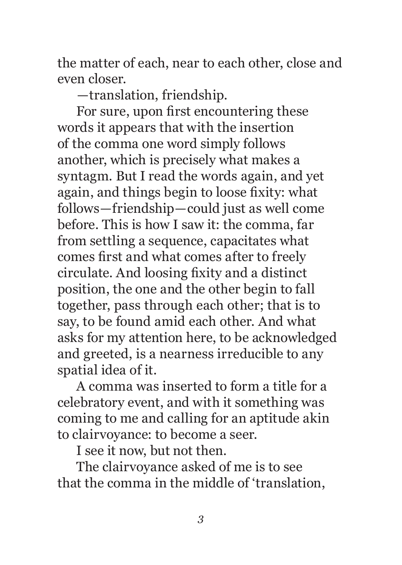the matter of each, near to each other, close and even closer.

—translation, friendship.

For sure, upon first encountering these words it appears that with the insertion of the comma one word simply follows another, which is precisely what makes a syntagm. But I read the words again, and yet again, and things begin to loose fixity: what follows—friendship—could just as well come before. This is how I saw it: the comma, far from settling a sequence, capacitates what comes first and what comes after to freely circulate. And loosing fixity and a distinct position, the one and the other begin to fall together, pass through each other; that is to say, to be found amid each other. And what asks for my attention here, to be acknowledged and greeted, is a nearness irreducible to any spatial idea of it.

A comma was inserted to form a title for a celebratory event, and with it something was coming to me and calling for an aptitude akin to clairvoyance: to become a seer.

I see it now, but not then.

The clairvoyance asked of me is to see that the comma in the middle of 'translation,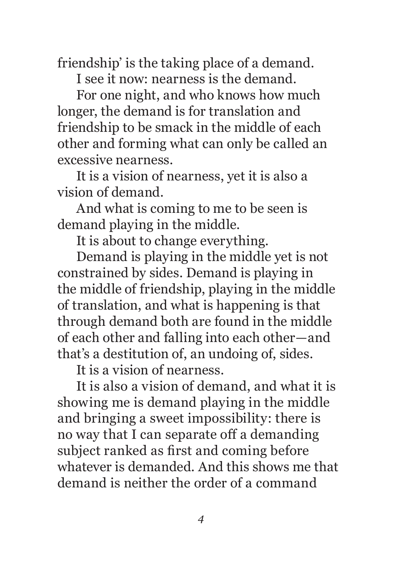friendship' is the taking place of a demand.

I see it now: nearness is the demand.

For one night, and who knows how much longer, the demand is for translation and friendship to be smack in the middle of each other and forming what can only be called an excessive nearness.

It is a vision of nearness, yet it is also a vision of demand.

And what is coming to me to be seen is demand playing in the middle.

It is about to change everything.

Demand is playing in the middle yet is not constrained by sides. Demand is playing in the middle of friendship, playing in the middle of translation, and what is happening is that through demand both are found in the middle of each other and falling into each other—and that's a destitution of, an undoing of, sides.

It is a vision of nearness.

It is also a vision of demand, and what it is showing me is demand playing in the middle and bringing a sweet impossibility: there is no way that I can separate off a demanding subject ranked as first and coming before whatever is demanded. And this shows me that demand is neither the order of a command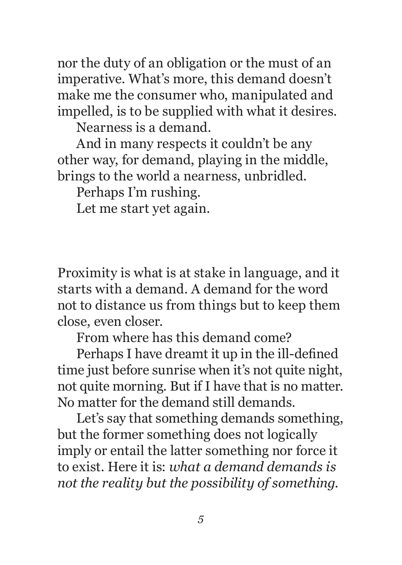nor the duty of an obligation or the must of an imperative. What's more, this demand doesn't make me the consumer who, manipulated and impelled, is to be supplied with what it desires.

Nearness is a demand.

And in many respects it couldn't be any other way, for demand, playing in the middle, brings to the world a nearness, unbridled.

Perhaps I'm rushing.

Let me start yet again.

Proximity is what is at stake in language, and it starts with a demand. A demand for the word not to distance us from things but to keep them close, even closer.

From where has this demand come?

Perhaps I have dreamt it up in the ill-defined time just before sunrise when it's not quite night, not quite morning. But if I have that is no matter. No matter for the demand still demands.

Let's say that something demands something, but the former something does not logically imply or entail the latter something nor force it to exist. Here it is: *what a demand demands is not the reality but the possibility of something.*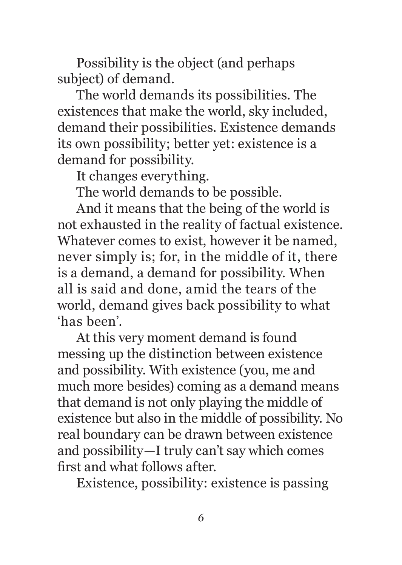Possibility is the object (and perhaps subject) of demand.

The world demands its possibilities. The existences that make the world, sky included, demand their possibilities. Existence demands its own possibility; better yet: existence is a demand for possibility.

It changes everything.

The world demands to be possible.

And it means that the being of the world is not exhausted in the reality of factual existence. Whatever comes to exist, however it be named, never simply is; for, in the middle of it, there is a demand, a demand for possibility. When all is said and done, amid the tears of the world, demand gives back possibility to what 'has been'.

At this very moment demand is found messing up the distinction between existence and possibility. With existence (you, me and much more besides) coming as a demand means that demand is not only playing the middle of existence but also in the middle of possibility. No real boundary can be drawn between existence and possibility—I truly can't say which comes first and what follows after.

Existence, possibility: existence is passing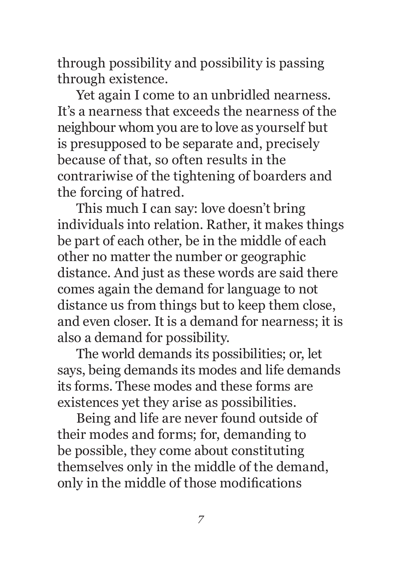through possibility and possibility is passing through existence.

Yet again I come to an unbridled nearness. It's a nearness that exceeds the nearness of the neighbour whom you are to love as yourself but is presupposed to be separate and, precisely because of that, so often results in the contrariwise of the tightening of boarders and the forcing of hatred.

This much I can say: love doesn't bring individuals into relation. Rather, it makes things be part of each other, be in the middle of each other no matter the number or geographic distance. And just as these words are said there comes again the demand for language to not distance us from things but to keep them close, and even closer. It is a demand for nearness; it is also a demand for possibility.

The world demands its possibilities; or, let says, being demands its modes and life demands its forms. These modes and these forms are existences yet they arise as possibilities.

Being and life are never found outside of their modes and forms; for, demanding to be possible, they come about constituting themselves only in the middle of the demand, only in the middle of those modifications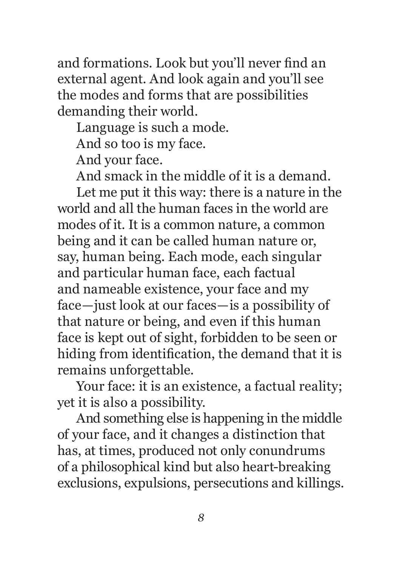and formations. Look but you'll never find an external agent. And look again and you'll see the modes and forms that are possibilities demanding their world.

Language is such a mode.

And so too is my face.

And your face.

And smack in the middle of it is a demand.

Let me put it this way: there is a nature in the world and all the human faces in the world are modes of it. It is a common nature, a common being and it can be called human nature or, say, human being. Each mode, each singular and particular human face, each factual and nameable existence, your face and my face—just look at our faces—is a possibility of that nature or being, and even if this human face is kept out of sight, forbidden to be seen or hiding from identification, the demand that it is remains unforgettable.

Your face: it is an existence, a factual reality; yet it is also a possibility.

And something else is happening in the middle of your face, and it changes a distinction that has, at times, produced not only conundrums of a philosophical kind but also heart-breaking exclusions, expulsions, persecutions and killings.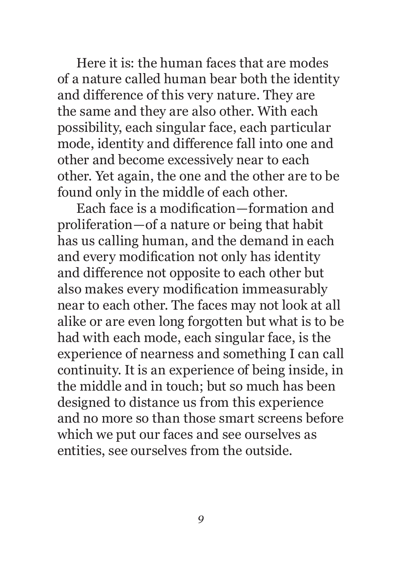Here it is: the human faces that are modes of a nature called human bear both the identity and difference of this very nature. They are the same and they are also other. With each possibility, each singular face, each particular mode, identity and difference fall into one and other and become excessively near to each other. Yet again, the one and the other are to be found only in the middle of each other.

Each face is a modification—formation and proliferation—of a nature or being that habit has us calling human, and the demand in each and every modification not only has identity and difference not opposite to each other but also makes every modification immeasurably near to each other. The faces may not look at all alike or are even long forgotten but what is to be had with each mode, each singular face, is the experience of nearness and something I can call continuity. It is an experience of being inside, in the middle and in touch; but so much has been designed to distance us from this experience and no more so than those smart screens before which we put our faces and see ourselves as entities, see ourselves from the outside.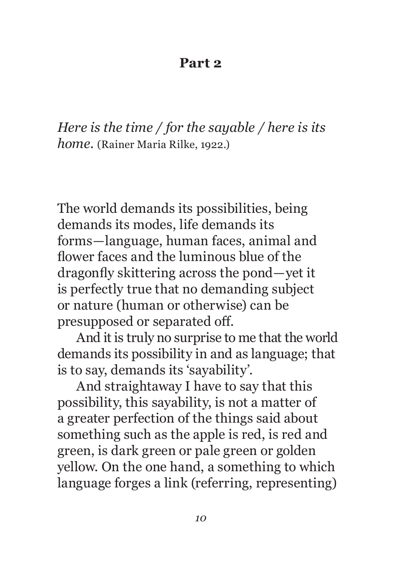#### **Part 2**

*Here is the time / for the sayable / here is its home.* (Rainer Maria Rilke, 1922.)

The world demands its possibilities, being demands its modes, life demands its forms—language, human faces, animal and flower faces and the luminous blue of the dragonfly skittering across the pond—yet it is perfectly true that no demanding subject or nature (human or otherwise) can be presupposed or separated off.

And it is truly no surprise to me that the world demands its possibility in and as language; that is to say, demands its 'sayability'.

And straightaway I have to say that this possibility, this sayability, is not a matter of a greater perfection of the things said about something such as the apple is red, is red and green, is dark green or pale green or golden yellow. On the one hand, a something to which language forges a link (referring, representing)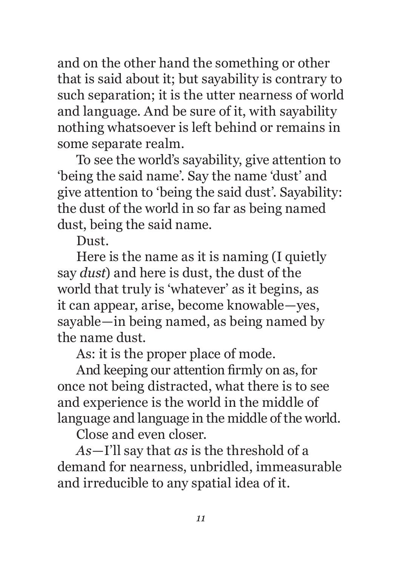and on the other hand the something or other that is said about it; but sayability is contrary to such separation; it is the utter nearness of world and language. And be sure of it, with sayability nothing whatsoever is left behind or remains in some separate realm.

To see the world's sayability, give attention to 'being the said name'. Say the name 'dust' and give attention to 'being the said dust'. Sayability: the dust of the world in so far as being named dust, being the said name.

Dust.

Here is the name as it is naming (I quietly say *dust*) and here is dust, the dust of the world that truly is 'whatever' as it begins, as it can appear, arise, become knowable—yes, sayable—in being named, as being named by the name dust.

As: it is the proper place of mode.

And keeping our attention firmly on as, for once not being distracted, what there is to see and experience is the world in the middle of language and language in the middle of the world.

Close and even closer.

*As*—I'll say that *as* is the threshold of a demand for nearness, unbridled, immeasurable and irreducible to any spatial idea of it.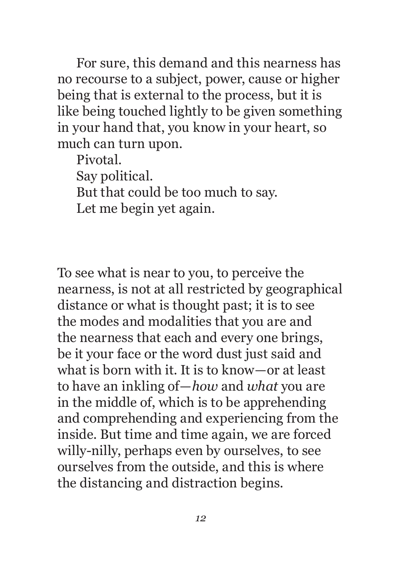For sure, this demand and this nearness has no recourse to a subject, power, cause or higher being that is external to the process, but it is like being touched lightly to be given something in your hand that, you know in your heart, so much can turn upon.

Pivotal. Say political. But that could be too much to say. Let me begin yet again.

To see what is near to you, to perceive the nearness, is not at all restricted by geographical distance or what is thought past; it is to see the modes and modalities that you are and the nearness that each and every one brings, be it your face or the word dust just said and what is born with it. It is to know—or at least to have an inkling of—*how* and *what* you are in the middle of, which is to be apprehending and comprehending and experiencing from the inside. But time and time again, we are forced willy-nilly, perhaps even by ourselves, to see ourselves from the outside, and this is where the distancing and distraction begins.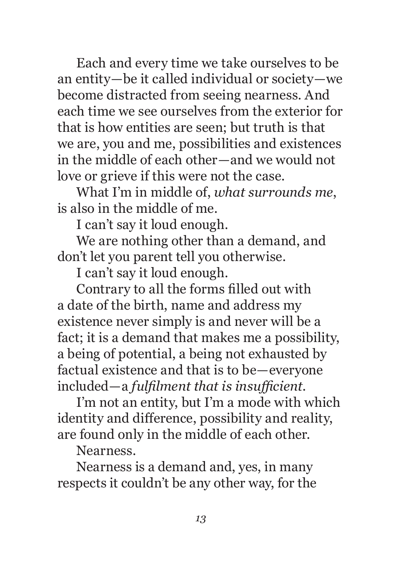Each and every time we take ourselves to be an entity—be it called individual or society—we become distracted from seeing nearness. And each time we see ourselves from the exterior for that is how entities are seen; but truth is that we are, you and me, possibilities and existences in the middle of each other—and we would not love or grieve if this were not the case.

What I'm in middle of, *what surrounds me*, is also in the middle of me.

I can't say it loud enough.

We are nothing other than a demand, and don't let you parent tell you otherwise.

I can't say it loud enough.

Contrary to all the forms filled out with a date of the birth, name and address my existence never simply is and never will be a fact; it is a demand that makes me a possibility, a being of potential, a being not exhausted by factual existence and that is to be—everyone included—a *fulfilment that is insufficient*.

I'm not an entity, but I'm a mode with which identity and difference, possibility and reality, are found only in the middle of each other.

Nearness.

Nearness is a demand and, yes, in many respects it couldn't be any other way, for the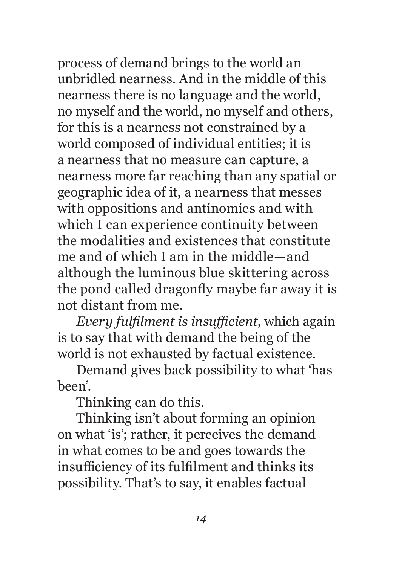process of demand brings to the world an unbridled nearness. And in the middle of this nearness there is no language and the world, no myself and the world, no myself and others, for this is a nearness not constrained by a world composed of individual entities; it is a nearness that no measure can capture, a nearness more far reaching than any spatial or geographic idea of it, a nearness that messes with oppositions and antinomies and with which I can experience continuity between the modalities and existences that constitute me and of which I am in the middle—and although the luminous blue skittering across the pond called dragonfly maybe far away it is not distant from me.

*Every fulfilment is insufficient*, which again is to say that with demand the being of the world is not exhausted by factual existence.

Demand gives back possibility to what 'has been'.

Thinking can do this.

Thinking isn't about forming an opinion on what 'is'; rather, it perceives the demand in what comes to be and goes towards the insufficiency of its fulfilment and thinks its possibility. That's to say, it enables factual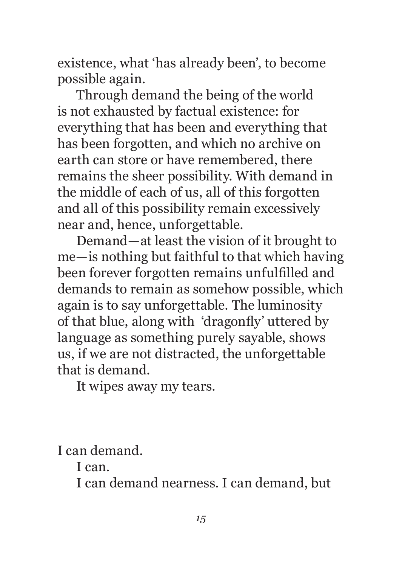existence, what 'has already been', to become possible again.

Through demand the being of the world is not exhausted by factual existence: for everything that has been and everything that has been forgotten, and which no archive on earth can store or have remembered, there remains the sheer possibility. With demand in the middle of each of us, all of this forgotten and all of this possibility remain excessively near and, hence, unforgettable.

Demand—at least the vision of it brought to me—is nothing but faithful to that which having been forever forgotten remains unfulfilled and demands to remain as somehow possible, which again is to say unforgettable. The luminosity of that blue, along with 'dragonfly' uttered by language as something purely sayable, shows us, if we are not distracted, the unforgettable that is demand.

It wipes away my tears.

I can demand.

I can.

I can demand nearness. I can demand, but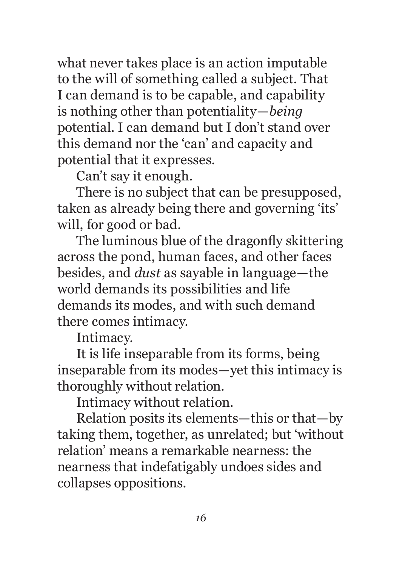what never takes place is an action imputable to the will of something called a subject. That I can demand is to be capable, and capability is nothing other than potentiality—*being* potential. I can demand but I don't stand over this demand nor the 'can' and capacity and potential that it expresses.

Can't say it enough.

There is no subject that can be presupposed, taken as already being there and governing 'its' will, for good or bad.

The luminous blue of the dragonfly skittering across the pond, human faces, and other faces besides, and *dust* as sayable in language—the world demands its possibilities and life demands its modes, and with such demand there comes intimacy.

Intimacy.

It is life inseparable from its forms, being inseparable from its modes—yet this intimacy is thoroughly without relation.

Intimacy without relation.

Relation posits its elements—this or that—by taking them, together, as unrelated; but 'without relation' means a remarkable nearness: the nearness that indefatigably undoes sides and collapses oppositions.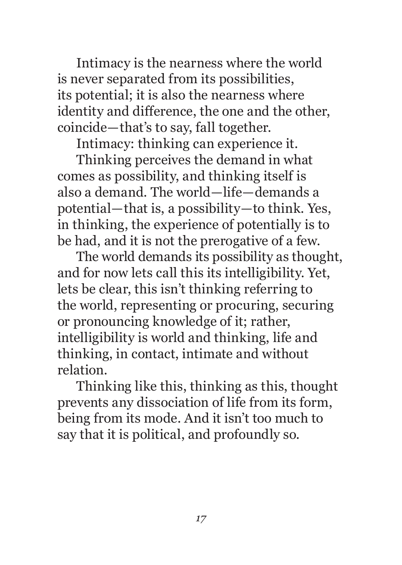Intimacy is the nearness where the world is never separated from its possibilities, its potential; it is also the nearness where identity and difference, the one and the other, coincide—that's to say, fall together.

Intimacy: thinking can experience it.

Thinking perceives the demand in what comes as possibility, and thinking itself is also a demand. The world—life—demands a potential—that is, a possibility—to think. Yes, in thinking, the experience of potentially is to be had, and it is not the prerogative of a few.

The world demands its possibility as thought, and for now lets call this its intelligibility. Yet, lets be clear, this isn't thinking referring to the world, representing or procuring, securing or pronouncing knowledge of it; rather, intelligibility is world and thinking, life and thinking, in contact, intimate and without relation.

Thinking like this, thinking as this, thought prevents any dissociation of life from its form, being from its mode. And it isn't too much to say that it is political, and profoundly so.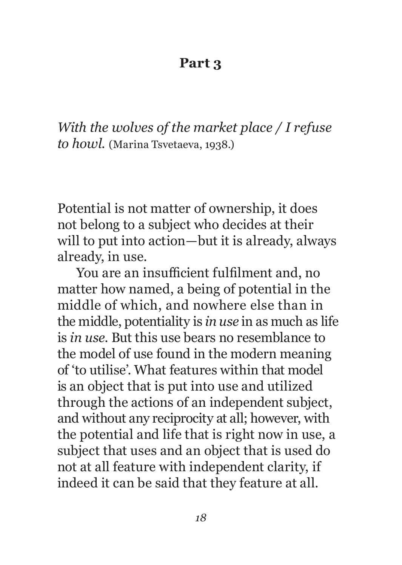#### **Part 3**

*With the wolves of the market place / I refuse to howl.* (Marina Tsvetaeva, 1938.)

Potential is not matter of ownership, it does not belong to a subject who decides at their will to put into action—but it is already, always already, in use.

You are an insufficient fulfilment and, no matter how named, a being of potential in the middle of which, and nowhere else than in the middle, potentiality is *in use* in as much as life is *in use*. But this use bears no resemblance to the model of use found in the modern meaning of 'to utilise'. What features within that model is an object that is put into use and utilized through the actions of an independent subject, and without any reciprocity at all; however, with the potential and life that is right now in use, a subject that uses and an object that is used do not at all feature with independent clarity, if indeed it can be said that they feature at all.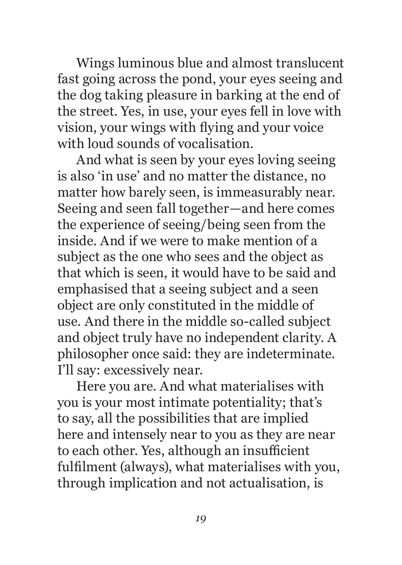Wings luminous blue and almost translucent fast going across the pond, your eyes seeing and the dog taking pleasure in barking at the end of the street. Yes, in use, your eyes fell in love with vision, your wings with flying and your voice with loud sounds of vocalisation.

And what is seen by your eyes loving seeing is also 'in use' and no matter the distance, no matter how barely seen, is immeasurably near. Seeing and seen fall together—and here comes the experience of seeing/being seen from the inside. And if we were to make mention of a subject as the one who sees and the object as that which is seen, it would have to be said and emphasised that a seeing subject and a seen object are only constituted in the middle of use. And there in the middle so-called subject and object truly have no independent clarity. A philosopher once said: they are indeterminate. I'll say: excessively near.

Here you are. And what materialises with you is your most intimate potentiality; that's to say, all the possibilities that are implied here and intensely near to you as they are near to each other. Yes, although an insufficient fulfilment (always), what materialises with you, through implication and not actualisation, is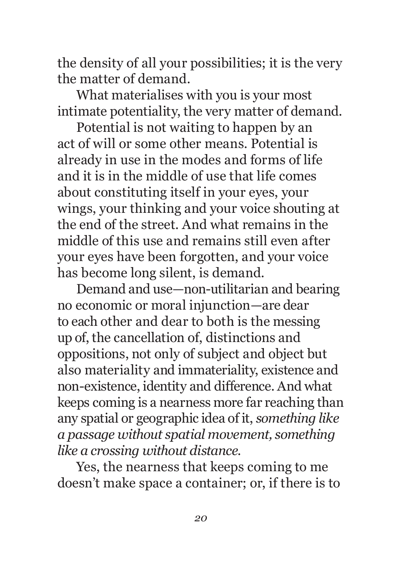the density of all your possibilities; it is the very the matter of demand.

What materialises with you is your most intimate potentiality, the very matter of demand.

Potential is not waiting to happen by an act of will or some other means. Potential is already in use in the modes and forms of life and it is in the middle of use that life comes about constituting itself in your eyes, your wings, your thinking and your voice shouting at the end of the street. And what remains in the middle of this use and remains still even after your eyes have been forgotten, and your voice has become long silent, is demand.

Demand and use—non-utilitarian and bearing no economic or moral injunction—are dear to each other and dear to both is the messing up of, the cancellation of, distinctions and oppositions, not only of subject and object but also materiality and immateriality, existence and non-existence, identity and difference. And what keeps coming is a nearness more far reaching than any spatial or geographic idea of it, *something like a passage without spatial movement, something like a crossing without distance*.

Yes, the nearness that keeps coming to me doesn't make space a container; or, if there is to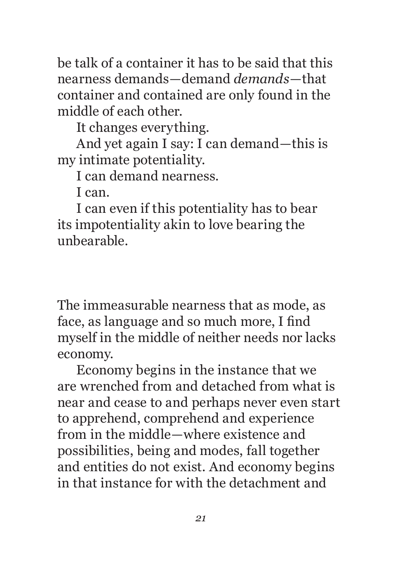be talk of a container it has to be said that this nearness demands—demand *demands*—that container and contained are only found in the middle of each other.

It changes everything.

And yet again I say: I can demand—this is my intimate potentiality.

I can demand nearness.

I can.

I can even if this potentiality has to bear its impotentiality akin to love bearing the unbearable.

The immeasurable nearness that as mode, as face, as language and so much more, I find myself in the middle of neither needs nor lacks economy.

Economy begins in the instance that we are wrenched from and detached from what is near and cease to and perhaps never even start to apprehend, comprehend and experience from in the middle—where existence and possibilities, being and modes, fall together and entities do not exist. And economy begins in that instance for with the detachment and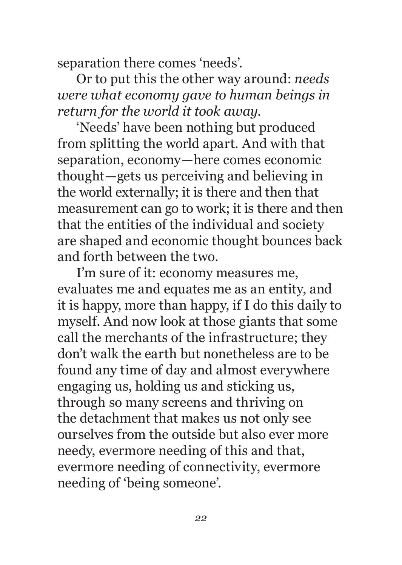separation there comes 'needs'.

Or to put this the other way around: *needs were what economy gave to human beings in return for the world it took away*.

'Needs' have been nothing but produced from splitting the world apart. And with that separation, economy—here comes economic thought—gets us perceiving and believing in the world externally; it is there and then that measurement can go to work; it is there and then that the entities of the individual and society are shaped and economic thought bounces back and forth between the two.

I'm sure of it: economy measures me, evaluates me and equates me as an entity, and it is happy, more than happy, if I do this daily to myself. And now look at those giants that some call the merchants of the infrastructure; they don't walk the earth but nonetheless are to be found any time of day and almost everywhere engaging us, holding us and sticking us, through so many screens and thriving on the detachment that makes us not only see ourselves from the outside but also ever more needy, evermore needing of this and that, evermore needing of connectivity, evermore needing of 'being someone'.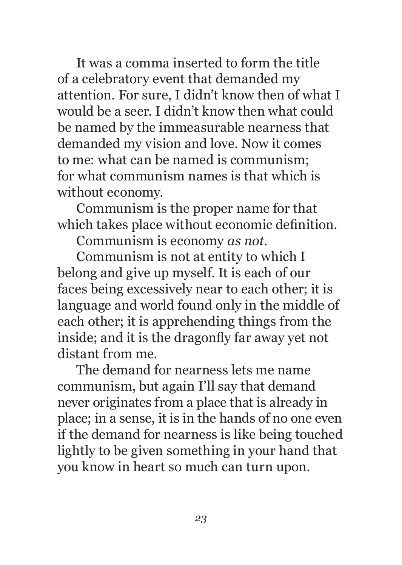It was a comma inserted to form the title of a celebratory event that demanded my attention. For sure, I didn't know then of what I would be a seer. I didn't know then what could be named by the immeasurable nearness that demanded my vision and love. Now it comes to me: what can be named is communism; for what communism names is that which is without economy.

Communism is the proper name for that which takes place without economic definition.

Communism is economy *as not*.

Communism is not at entity to which I belong and give up myself. It is each of our faces being excessively near to each other; it is language and world found only in the middle of each other; it is apprehending things from the inside; and it is the dragonfly far away yet not distant from me.

The demand for nearness lets me name communism, but again I'll say that demand never originates from a place that is already in place; in a sense, it is in the hands of no one even if the demand for nearness is like being touched lightly to be given something in your hand that you know in heart so much can turn upon.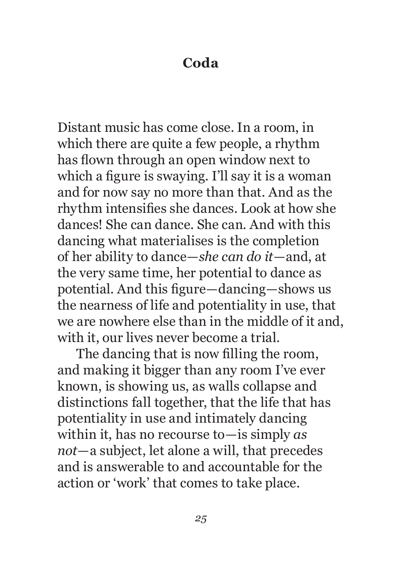#### **Coda**

Distant music has come close. In a room, in which there are quite a few people, a rhythm has flown through an open window next to which a figure is swaying. I'll say it is a woman and for now say no more than that. And as the rhythm intensifies she dances. Look at how she dances! She can dance. She can. And with this dancing what materialises is the completion of her ability to dance—*she can do it*—and, at the very same time, her potential to dance as potential. And this figure—dancing—shows us the nearness of life and potentiality in use, that we are nowhere else than in the middle of it and, with it, our lives never become a trial.

The dancing that is now filling the room, and making it bigger than any room I've ever known, is showing us, as walls collapse and distinctions fall together, that the life that has potentiality in use and intimately dancing within it, has no recourse to—is simply *as not*—a subject, let alone a will, that precedes and is answerable to and accountable for the action or 'work' that comes to take place.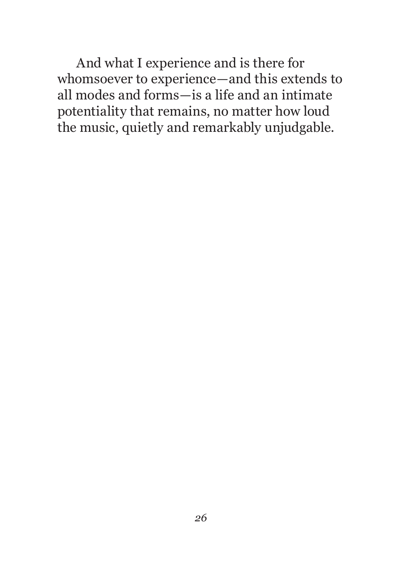And what I experience and is there for whomsoever to experience—and this extends to all modes and forms—is a life and an intimate potentiality that remains, no matter how loud the music, quietly and remarkably unjudgable.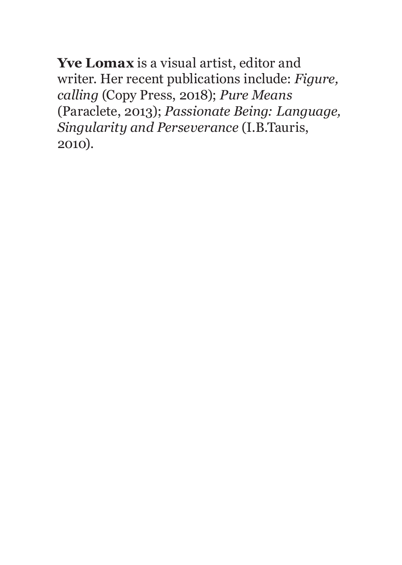**Yve Lomax** is a visual artist, editor and writer. Her recent publications include: *Figure, calling* (Copy Press, 2018); *Pure Means* (Paraclete, 2013); *Passionate Being: Language, Singularity and Perseverance* (I.B.Tauris, 2010).